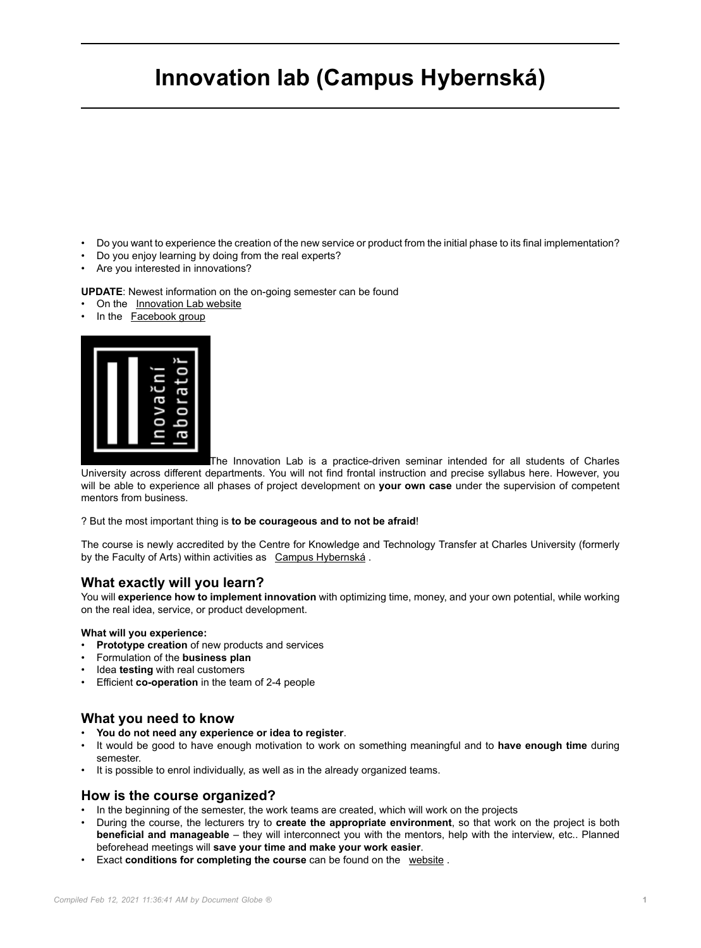# **Innovation lab (Campus Hybernská)**

- Do you want to experience the creation of the new service or product from the initial phase to its final implementation?
- Do you enjoy learning by doing from the real experts?
- Are you interested in innovations?

**UPDATE**: Newest information on the on-going semester can be found

- On the [Innovation Lab website](http://Innovation Laboratory website)
- In the [Facebook group](https://www.facebook.com/groups/240199906616735)



The Innovation Lab is a practice-driven seminar intended for all students of Charles University across different departments. You will not find frontal instruction and precise syllabus here. However, you will be able to experience all phases of project development on **your own case** under the supervision of competent mentors from business.

#### ? But the most important thing is **to be courageous and to not be afraid**!

The course is newly accredited by the Centre for Knowledge and Technology Transfer at Charles University (formerly by the Faculty of Arts) within activities as [Campus Hybernská](http://www.kampushybernska.cz/).

# **What exactly will you learn?**

You will **experience how to implement innovation** with optimizing time, money, and your own potential, while working on the real idea, service, or product development.

#### **What will you experience:**

- **Prototype creation** of new products and services
- Formulation of the **business plan**
- Idea **testing** with real customers
- Efficient **co-operation** in the team of 2-4 people

#### **What you need to know**

- **You do not need any experience or idea to register**.
- It would be good to have enough motivation to work on something meaningful and to **have enough time** during semester.
- It is possible to enrol individually, as well as in the already organized teams.

#### **How is the course organized?**

- In the beginning of the semester, the work teams are created, which will work on the projects
- During the course, the lecturers try to **create the appropriate environment**, so that work on the project is both **beneficial and manageable** – they will interconnect you with the mentors, help with the interview, etc.. Planned beforehead meetings will **save your time and make your work easier**.
- Exact **conditions for completing the course** can be found on the [website](https://www.inovacnilaborator.cz/pro-zajemce-o-studium/) .